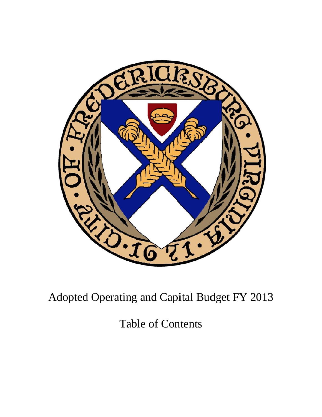

Adopted Operating and Capital Budget FY 2013

**Table of Contents**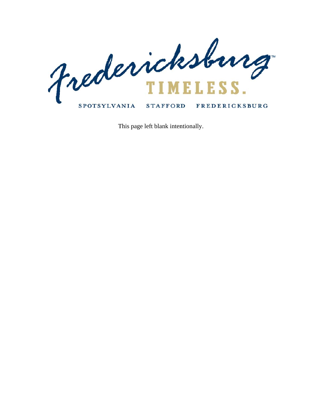

This page left blank intentionally.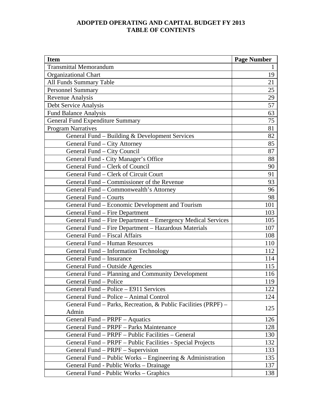## **ADOPTED OPERATING AND CAPITAL BUDGET FY 2013 TABLE OF CONTENTS**

| <b>Item</b>                                                    | <b>Page Number</b> |
|----------------------------------------------------------------|--------------------|
| <b>Transmittal Memorandum</b>                                  | $\mathbf{1}$       |
| <b>Organizational Chart</b>                                    | 19                 |
| All Funds Summary Table                                        | 21                 |
| <b>Personnel Summary</b>                                       | 25                 |
| Revenue Analysis                                               | 29                 |
| Debt Service Analysis                                          | 57                 |
| Fund Balance Analysis                                          | 63                 |
| <b>General Fund Expenditure Summary</b>                        | 75                 |
| <b>Program Narratives</b>                                      | 81                 |
| General Fund - Building & Development Services                 | 82                 |
| General Fund - City Attorney                                   | 85                 |
| General Fund - City Council                                    | 87                 |
| General Fund - City Manager's Office                           | 88                 |
| General Fund - Clerk of Council                                | 90                 |
| General Fund - Clerk of Circuit Court                          | 91                 |
| General Fund - Commissioner of the Revenue                     | 93                 |
| General Fund - Commonwealth's Attorney                         | 96                 |
| General Fund – Courts                                          | 98                 |
| General Fund - Economic Development and Tourism                | 101                |
| General Fund - Fire Department                                 | 103                |
| General Fund - Fire Department - Emergency Medical Services    | 105                |
| General Fund - Fire Department - Hazardous Materials           | 107                |
| General Fund - Fiscal Affairs                                  | 108                |
| General Fund - Human Resources                                 | 110                |
| General Fund - Information Technology                          | 112                |
| General Fund - Insurance                                       | 114                |
| General Fund - Outside Agencies                                | 115                |
| General Fund – Planning and Community Development              | 116                |
| General Fund - Police                                          | 119                |
| General Fund – Police – E911 Services                          | 122                |
| General Fund – Police – Animal Control                         | 124                |
| General Fund – Parks, Recreation, & Public Facilities (PRPF) – | 125                |
| Admin                                                          |                    |
| General Fund - PRPF - Aquatics                                 | 126                |
| General Fund – PRPF – Parks Maintenance                        | 128                |
| General Fund - PRPF - Public Facilities - General              | 130                |
| General Fund - PRPF - Public Facilities - Special Projects     | 132                |
| General Fund - PRPF - Supervision                              | 133                |
| General Fund – Public Works – Engineering $\&$ Administration  | 135                |
| General Fund - Public Works – Drainage                         | 137                |
| General Fund - Public Works – Graphics                         | 138                |